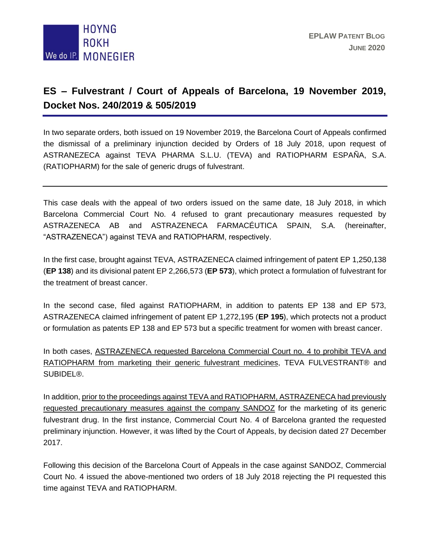

## **ES – Fulvestrant / Court of Appeals of Barcelona, 19 November 2019, Docket Nos. 240/2019 & 505/2019**

In two separate orders, both issued on 19 November 2019, the Barcelona Court of Appeals confirmed the dismissal of a preliminary injunction decided by Orders of 18 July 2018, upon request of ASTRANEZECA against TEVA PHARMA S.L.U. (TEVA) and RATIOPHARM ESPAÑA, S.A. (RATIOPHARM) for the sale of generic drugs of fulvestrant.

This case deals with the appeal of two orders issued on the same date, 18 July 2018, in which Barcelona Commercial Court No. 4 refused to grant precautionary measures requested by ASTRAZENECA AB and ASTRAZENECA FARMACÉUTICA SPAIN, S.A. (hereinafter, "ASTRAZENECA") against TEVA and RATIOPHARM, respectively.

In the first case, brought against TEVA, ASTRAZENECA claimed infringement of patent EP 1,250,138 (**EP 138**) and its divisional patent EP 2,266,573 (**EP 573**), which protect a formulation of fulvestrant for the treatment of breast cancer.

In the second case, filed against RATIOPHARM, in addition to patents EP 138 and EP 573, ASTRAZENECA claimed infringement of patent EP 1,272,195 (**EP 195**), which protects not a product or formulation as patents EP 138 and EP 573 but a specific treatment for women with breast cancer.

In both cases, ASTRAZENECA requested Barcelona Commercial Court no. 4 to prohibit TEVA and RATIOPHARM from marketing their generic fulvestrant medicines, TEVA FULVESTRANT® and SUBIDEL®.

In addition, prior to the proceedings against TEVA and RATIOPHARM, ASTRAZENECA had previously requested precautionary measures against the company SANDOZ for the marketing of its generic fulvestrant drug. In the first instance, Commercial Court No. 4 of Barcelona granted the requested preliminary injunction. However, it was lifted by the Court of Appeals, by decision dated 27 December 2017.

Following this decision of the Barcelona Court of Appeals in the case against SANDOZ, Commercial Court No. 4 issued the above-mentioned two orders of 18 July 2018 rejecting the PI requested this time against TEVA and RATIOPHARM.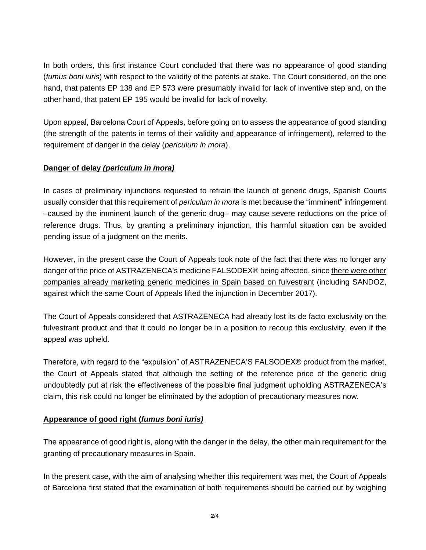In both orders, this first instance Court concluded that there was no appearance of good standing (*fumus boni iuris*) with respect to the validity of the patents at stake. The Court considered, on the one hand, that patents EP 138 and EP 573 were presumably invalid for lack of inventive step and, on the other hand, that patent EP 195 would be invalid for lack of novelty.

Upon appeal, Barcelona Court of Appeals, before going on to assess the appearance of good standing (the strength of the patents in terms of their validity and appearance of infringement), referred to the requirement of danger in the delay (*periculum in mora*).

## **Danger of delay** *(periculum in mora)*

In cases of preliminary injunctions requested to refrain the launch of generic drugs, Spanish Courts usually consider that this requirement of *periculum in mora* is met because the "imminent" infringement –caused by the imminent launch of the generic drug– may cause severe reductions on the price of reference drugs. Thus, by granting a preliminary injunction, this harmful situation can be avoided pending issue of a judgment on the merits.

However, in the present case the Court of Appeals took note of the fact that there was no longer any danger of the price of ASTRAZENECA's medicine FALSODEX® being affected, since there were other companies already marketing generic medicines in Spain based on fulvestrant (including SANDOZ, against which the same Court of Appeals lifted the injunction in December 2017).

The Court of Appeals considered that ASTRAZENECA had already lost its de facto exclusivity on the fulvestrant product and that it could no longer be in a position to recoup this exclusivity, even if the appeal was upheld.

Therefore, with regard to the "expulsion" of ASTRAZENECA'S FALSODEX® product from the market, the Court of Appeals stated that although the setting of the reference price of the generic drug undoubtedly put at risk the effectiveness of the possible final judgment upholding ASTRAZENECA's claim, this risk could no longer be eliminated by the adoption of precautionary measures now.

## **Appearance of good right (***fumus boni iuris)*

The appearance of good right is, along with the danger in the delay, the other main requirement for the granting of precautionary measures in Spain.

In the present case, with the aim of analysing whether this requirement was met, the Court of Appeals of Barcelona first stated that the examination of both requirements should be carried out by weighing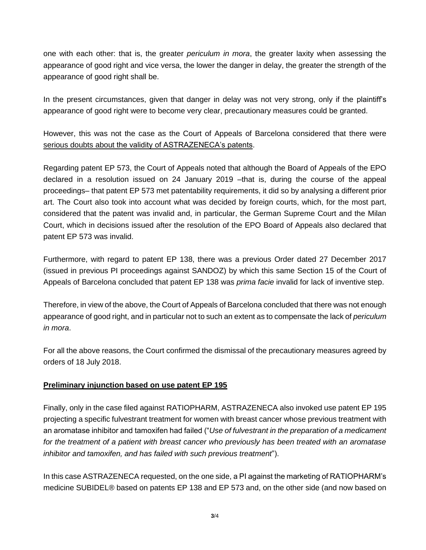one with each other: that is, the greater *periculum in mora*, the greater laxity when assessing the appearance of good right and vice versa, the lower the danger in delay, the greater the strength of the appearance of good right shall be.

In the present circumstances, given that danger in delay was not very strong, only if the plaintiff's appearance of good right were to become very clear, precautionary measures could be granted.

However, this was not the case as the Court of Appeals of Barcelona considered that there were serious doubts about the validity of ASTRAZENECA's patents.

Regarding patent EP 573, the Court of Appeals noted that although the Board of Appeals of the EPO declared in a resolution issued on 24 January 2019 –that is, during the course of the appeal proceedings– that patent EP 573 met patentability requirements, it did so by analysing a different prior art. The Court also took into account what was decided by foreign courts, which, for the most part, considered that the patent was invalid and, in particular, the German Supreme Court and the Milan Court, which in decisions issued after the resolution of the EPO Board of Appeals also declared that patent EP 573 was invalid.

Furthermore, with regard to patent EP 138, there was a previous Order dated 27 December 2017 (issued in previous PI proceedings against SANDOZ) by which this same Section 15 of the Court of Appeals of Barcelona concluded that patent EP 138 was *prima facie* invalid for lack of inventive step.

Therefore, in view of the above, the Court of Appeals of Barcelona concluded that there was not enough appearance of good right, and in particular not to such an extent as to compensate the lack of *periculum in mora*.

For all the above reasons, the Court confirmed the dismissal of the precautionary measures agreed by orders of 18 July 2018.

## **Preliminary injunction based on use patent EP 195**

Finally, only in the case filed against RATIOPHARM, ASTRAZENECA also invoked use patent EP 195 projecting a specific fulvestrant treatment for women with breast cancer whose previous treatment with an aromatase inhibitor and tamoxifen had failed ("*Use of fulvestrant in the preparation of a medicament for the treatment of a patient with breast cancer who previously has been treated with an aromatase inhibitor and tamoxifen, and has failed with such previous treatment*").

In this case ASTRAZENECA requested, on the one side, a PI against the marketing of RATIOPHARM's medicine SUBIDEL® based on patents EP 138 and EP 573 and, on the other side (and now based on